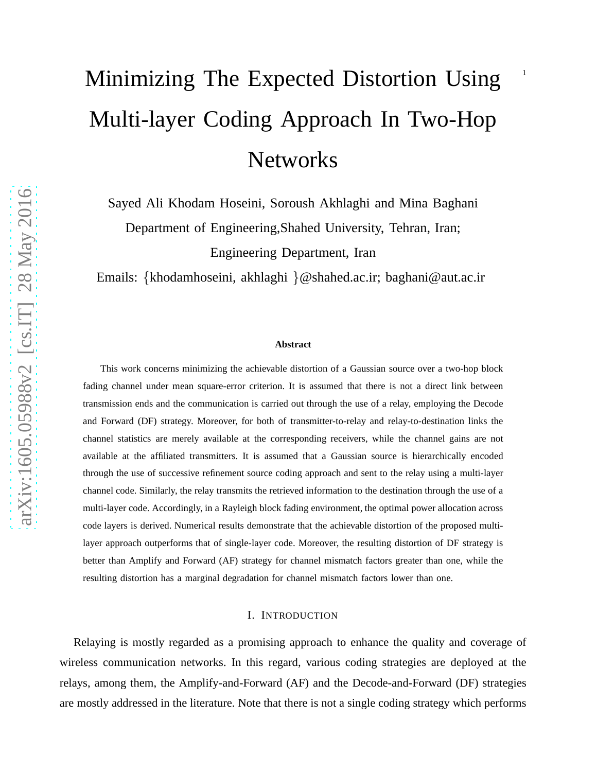# Minimizing The Expected Distortion Using Multi-layer Coding Approach In Two-Hop Networks

Sayed Ali Khodam Hoseini, Soroush Akhlaghi and Mina Baghani Department of Engineering,Shahed University, Tehran, Iran; Engineering Department, Iran

Emails: {khodamhoseini, akhlaghi }@shahed.ac.ir; baghani@aut.ac.ir

#### **Abstract**

This work concerns minimizing the achievable distortion of a Gaussian source over a two-hop block fading channel under mean square-error criterion. It is assumed that there is not a direct link between transmission ends and the communication is carried out through the use of a relay, employing the Decode and Forward (DF) strategy. Moreover, for both of transmitter-to-relay and relay-to-destination links the channel statistics are merely available at the corresponding receivers, while the channel gains are not available at the affiliated transmitters. It is assumed that a Gaussian source is hierarchically encoded through the use of successive refinement source coding approach and sent to the relay using a multi-layer channel code. Similarly, the relay transmits the retrieved information to the destination through the use of a multi-layer code. Accordingly, in a Rayleigh block fading environment, the optimal power allocation across code layers is derived. Numerical results demonstrate that the achievable distortion of the proposed multilayer approach outperforms that of single-layer code. Moreover, the resulting distortion of DF strategy is better than Amplify and Forward (AF) strategy for channel mismatch factors greater than one, while the resulting distortion has a marginal degradation for channel mismatch factors lower than one.

#### I. INTRODUCTION

Relaying is mostly regarded as a promising approach to enhance the quality and coverage of wireless communication networks. In this regard, various coding strategies are deployed at the relays, among them, the Amplify-and-Forward (AF) and the Decode-and-Forward (DF) strategies are mostly addressed in the literature. Note that there is not a single coding strategy which performs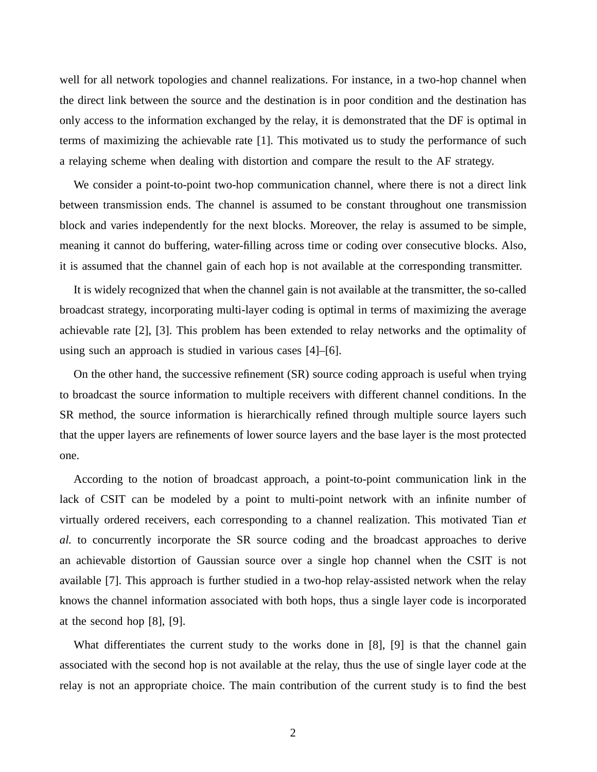well for all network topologies and channel realizations. For instance, in a two-hop channel when the direct link between the source and the destination is in poor condition and the destination has only access to the information exchanged by the relay, it is demonstrated that the DF is optimal in terms of maximizing the achievable rate [1]. This motivated us to study the performance of such a relaying scheme when dealing with distortion and compare the result to the AF strategy.

We consider a point-to-point two-hop communication channel, where there is not a direct link between transmission ends. The channel is assumed to be constant throughout one transmission block and varies independently for the next blocks. Moreover, the relay is assumed to be simple, meaning it cannot do buffering, water-filling across time or coding over consecutive blocks. Also, it is assumed that the channel gain of each hop is not available at the corresponding transmitter.

It is widely recognized that when the channel gain is not available at the transmitter, the so-called broadcast strategy, incorporating multi-layer coding is optimal in terms of maximizing the average achievable rate [2], [3]. This problem has been extended to relay networks and the optimality of using such an approach is studied in various cases [4]–[6].

On the other hand, the successive refinement (SR) source coding approach is useful when trying to broadcast the source information to multiple receivers with different channel conditions. In the SR method, the source information is hierarchically refined through multiple source layers such that the upper layers are refinements of lower source layers and the base layer is the most protected one.

According to the notion of broadcast approach, a point-to-point communication link in the lack of CSIT can be modeled by a point to multi-point network with an infinite number of virtually ordered receivers, each corresponding to a channel realization. This motivated Tian *et al.* to concurrently incorporate the SR source coding and the broadcast approaches to derive an achievable distortion of Gaussian source over a single hop channel when the CSIT is not available [7]. This approach is further studied in a two-hop relay-assisted network when the relay knows the channel information associated with both hops, thus a single layer code is incorporated at the second hop [8], [9].

What differentiates the current study to the works done in [8], [9] is that the channel gain associated with the second hop is not available at the relay, thus the use of single layer code at the relay is not an appropriate choice. The main contribution of the current study is to find the best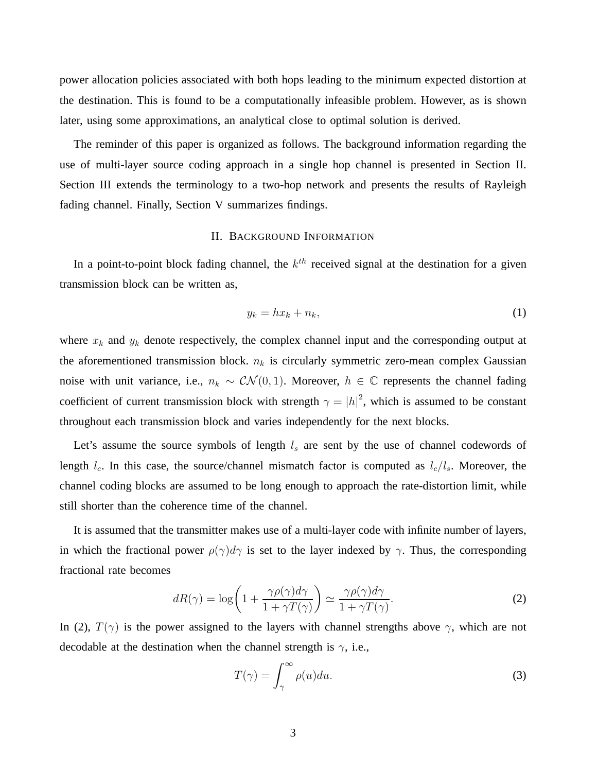power allocation policies associated with both hops leading to the minimum expected distortion at the destination. This is found to be a computationally infeasible problem. However, as is shown later, using some approximations, an analytical close to optimal solution is derived.

The reminder of this paper is organized as follows. The background information regarding the use of multi-layer source coding approach in a single hop channel is presented in Section II. Section III extends the terminology to a two-hop network and presents the results of Rayleigh fading channel. Finally, Section V summarizes findings.

### II. BACKGROUND INFORMATION

In a point-to-point block fading channel, the  $k^{th}$  received signal at the destination for a given transmission block can be written as,

$$
y_k = hx_k + n_k,\tag{1}
$$

where  $x_k$  and  $y_k$  denote respectively, the complex channel input and the corresponding output at the aforementioned transmission block.  $n_k$  is circularly symmetric zero-mean complex Gaussian noise with unit variance, i.e.,  $n_k \sim \mathcal{CN}(0, 1)$ . Moreover,  $h \in \mathbb{C}$  represents the channel fading coefficient of current transmission block with strength  $\gamma = |h|^2$ , which is assumed to be constant throughout each transmission block and varies independently for the next blocks.

Let's assume the source symbols of length  $l_s$  are sent by the use of channel codewords of length  $l_c$ . In this case, the source/channel mismatch factor is computed as  $l_c/l_s$ . Moreover, the channel coding blocks are assumed to be long enough to approach the rate-distortion limit, while still shorter than the coherence time of the channel.

It is assumed that the transmitter makes use of a multi-layer code with infinite number of layers, in which the fractional power  $\rho(\gamma)d\gamma$  is set to the layer indexed by  $\gamma$ . Thus, the corresponding fractional rate becomes

$$
dR(\gamma) = \log\left(1 + \frac{\gamma \rho(\gamma) d\gamma}{1 + \gamma T(\gamma)}\right) \simeq \frac{\gamma \rho(\gamma) d\gamma}{1 + \gamma T(\gamma)}.
$$
 (2)

In (2),  $T(\gamma)$  is the power assigned to the layers with channel strengths above  $\gamma$ , which are not decodable at the destination when the channel strength is  $\gamma$ , i.e.,

$$
T(\gamma) = \int_{\gamma}^{\infty} \rho(u) du.
$$
 (3)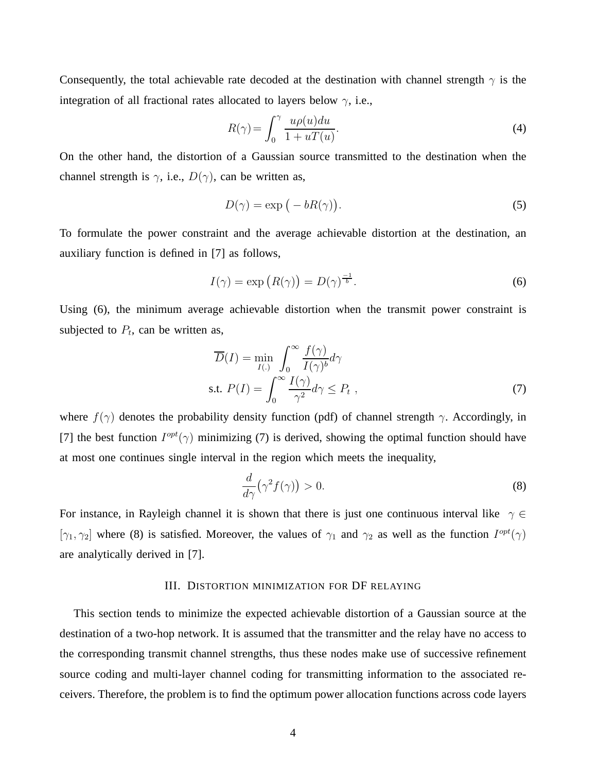Consequently, the total achievable rate decoded at the destination with channel strength  $\gamma$  is the integration of all fractional rates allocated to layers below  $\gamma$ , i.e.,

$$
R(\gamma) = \int_0^\gamma \frac{u\rho(u)du}{1 + uT(u)}.\tag{4}
$$

On the other hand, the distortion of a Gaussian source transmitted to the destination when the channel strength is  $\gamma$ , i.e.,  $D(\gamma)$ , can be written as,

$$
D(\gamma) = \exp(-bR(\gamma)).
$$
\n(5)

To formulate the power constraint and the average achievable distortion at the destination, an auxiliary function is defined in [7] as follows,

$$
I(\gamma) = \exp\left(R(\gamma)\right) = D(\gamma)^{\frac{-1}{b}}.
$$
\n(6)

Using (6), the minimum average achievable distortion when the transmit power constraint is subjected to  $P_t$ , can be written as,

$$
\overline{D}(I) = \min_{I(.)} \int_0^\infty \frac{f(\gamma)}{I(\gamma)^b} d\gamma
$$
  
s.t.  $P(I) = \int_0^\infty \frac{I(\gamma)}{\gamma^2} d\gamma \le P_t$ , (7)

where  $f(\gamma)$  denotes the probability density function (pdf) of channel strength  $\gamma$ . Accordingly, in [7] the best function  $I^{opt}(\gamma)$  minimizing (7) is derived, showing the optimal function should have at most one continues single interval in the region which meets the inequality,

$$
\frac{d}{d\gamma}(\gamma^2 f(\gamma)) > 0. \tag{8}
$$

For instance, in Rayleigh channel it is shown that there is just one continuous interval like  $\gamma \in$ [ $\gamma_1, \gamma_2$ ] where (8) is satisfied. Moreover, the values of  $\gamma_1$  and  $\gamma_2$  as well as the function  $I^{opt}(\gamma)$ are analytically derived in [7].

## III. DISTORTION MINIMIZATION FOR DF RELAYING

This section tends to minimize the expected achievable distortion of a Gaussian source at the destination of a two-hop network. It is assumed that the transmitter and the relay have no access to the corresponding transmit channel strengths, thus these nodes make use of successive refinement source coding and multi-layer channel coding for transmitting information to the associated receivers. Therefore, the problem is to find the optimum power allocation functions across code layers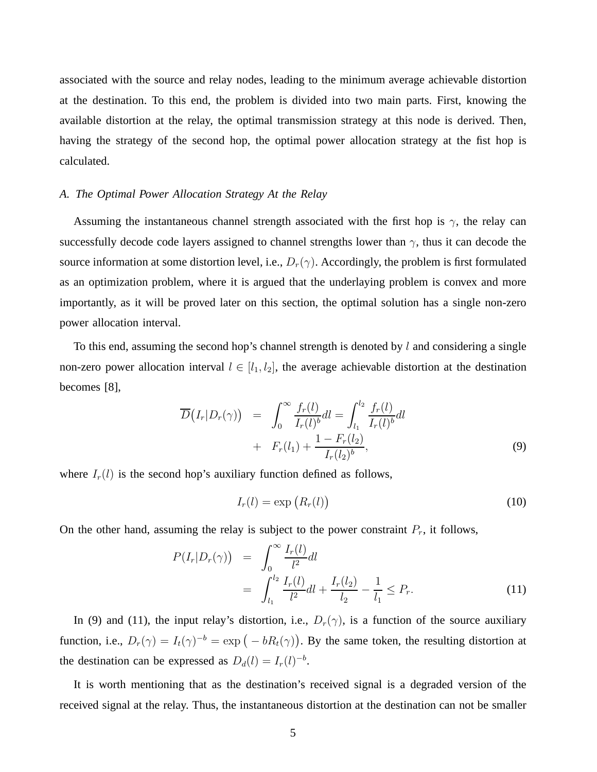associated with the source and relay nodes, leading to the minimum average achievable distortion at the destination. To this end, the problem is divided into two main parts. First, knowing the available distortion at the relay, the optimal transmission strategy at this node is derived. Then, having the strategy of the second hop, the optimal power allocation strategy at the fist hop is calculated.

#### *A. The Optimal Power Allocation Strategy At the Relay*

Assuming the instantaneous channel strength associated with the first hop is  $\gamma$ , the relay can successfully decode code layers assigned to channel strengths lower than  $\gamma$ , thus it can decode the source information at some distortion level, i.e.,  $D_r(\gamma)$ . Accordingly, the problem is first formulated as an optimization problem, where it is argued that the underlaying problem is convex and more importantly, as it will be proved later on this section, the optimal solution has a single non-zero power allocation interval.

To this end, assuming the second hop's channel strength is denoted by  $l$  and considering a single non-zero power allocation interval  $l \in [l_1, l_2]$ , the average achievable distortion at the destination becomes [8],

$$
\overline{D}(I_r|D_r(\gamma)) = \int_0^\infty \frac{f_r(l)}{I_r(l)^b} dl = \int_{l_1}^{l_2} \frac{f_r(l)}{I_r(l)^b} dl \n+ F_r(l_1) + \frac{1 - F_r(l_2)}{I_r(l_2)^b},
$$
\n(9)

where  $I_r(l)$  is the second hop's auxiliary function defined as follows,

$$
I_r(l) = \exp\left(R_r(l)\right) \tag{10}
$$

On the other hand, assuming the relay is subject to the power constraint  $P_r$ , it follows,

$$
P(I_r|D_r(\gamma)) = \int_0^\infty \frac{I_r(l)}{l^2} dl
$$
  
= 
$$
\int_{l_1}^{l_2} \frac{I_r(l)}{l^2} dl + \frac{I_r(l_2)}{l_2} - \frac{1}{l_1} \le P_r.
$$
 (11)

In (9) and (11), the input relay's distortion, i.e.,  $D_r(\gamma)$ , is a function of the source auxiliary function, i.e.,  $D_r(\gamma) = I_t(\gamma)^{-b} = \exp(-bR_t(\gamma))$ . By the same token, the resulting distortion at the destination can be expressed as  $D_d(l) = I_r(l)^{-b}$ .

It is worth mentioning that as the destination's received signal is a degraded version of the received signal at the relay. Thus, the instantaneous distortion at the destination can not be smaller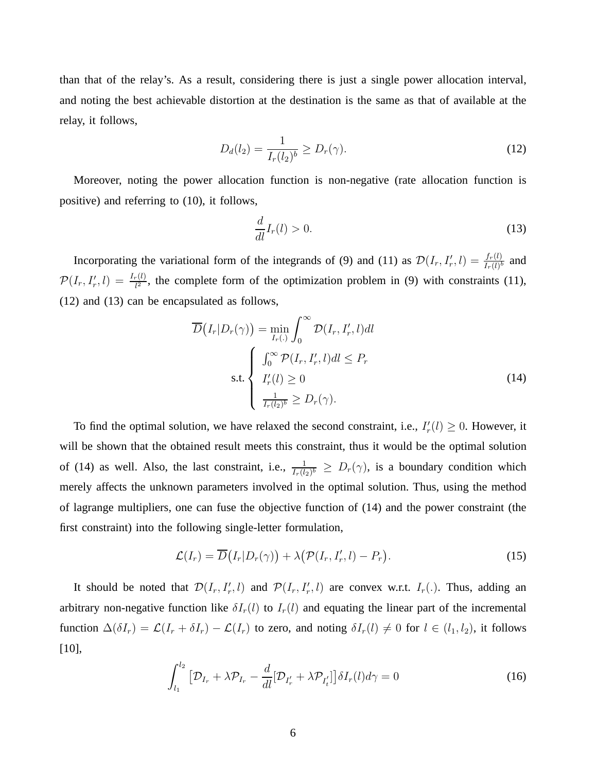than that of the relay's. As a result, considering there is just a single power allocation interval, and noting the best achievable distortion at the destination is the same as that of available at the relay, it follows,

$$
D_d(l_2) = \frac{1}{I_r(l_2)^b} \ge D_r(\gamma). \tag{12}
$$

Moreover, noting the power allocation function is non-negative (rate allocation function is positive) and referring to (10), it follows,

$$
\frac{d}{dl}I_r(l) > 0.\tag{13}
$$

Incorporating the variational form of the integrands of (9) and (11) as  $\mathcal{D}(I_r, I'_r, l) = \frac{f_r(l)}{I_r(l)^b}$  and  $\mathcal{P}(I_r, I'_r, l) = \frac{I_r(l)}{l^2}$ , the complete form of the optimization problem in (9) with constraints (11), (12) and (13) can be encapsulated as follows,

$$
\overline{D}(I_r|D_r(\gamma)) = \min_{I_r(.)} \int_0^\infty \mathcal{D}(I_r, I'_r, l)dl
$$
\n
$$
\text{s.t.} \begin{cases}\n\int_0^\infty \mathcal{P}(I_r, I'_r, l)dl \le P_r \\
I'_r(l) \ge 0 \\
\frac{1}{I_r(l_2)^b} \ge D_r(\gamma).\n\end{cases} \tag{14}
$$

To find the optimal solution, we have relaxed the second constraint, i.e.,  $I'_r$  $r'(l) \geq 0$ . However, it will be shown that the obtained result meets this constraint, thus it would be the optimal solution of (14) as well. Also, the last constraint, i.e.,  $\frac{1}{I_r(l_2)^b} \ge D_r(\gamma)$ , is a boundary condition which merely affects the unknown parameters involved in the optimal solution. Thus, using the method of lagrange multipliers, one can fuse the objective function of (14) and the power constraint (the first constraint) into the following single-letter formulation,

$$
\mathcal{L}(I_r) = \overline{D}(I_r|D_r(\gamma)) + \lambda (\mathcal{P}(I_r, I'_r, l) - P_r).
$$
\n(15)

It should be noted that  $\mathcal{D}(I_r, I'_r, l)$  and  $\mathcal{P}(I_r, I'_r, l)$  are convex w.r.t.  $I_r(.)$ . Thus, adding an arbitrary non-negative function like  $\delta I_r(l)$  to  $I_r(l)$  and equating the linear part of the incremental function  $\Delta(\delta I_r) = \mathcal{L}(I_r + \delta I_r) - \mathcal{L}(I_r)$  to zero, and noting  $\delta I_r(l) \neq 0$  for  $l \in (l_1, l_2)$ , it follows [10],

$$
\int_{l_1}^{l_2} \left[ \mathcal{D}_{I_r} + \lambda \mathcal{P}_{I_r} - \frac{d}{dl} [\mathcal{D}_{I'_r} + \lambda \mathcal{P}_{I'_t}] \right] \delta I_r(l) d\gamma = 0 \tag{16}
$$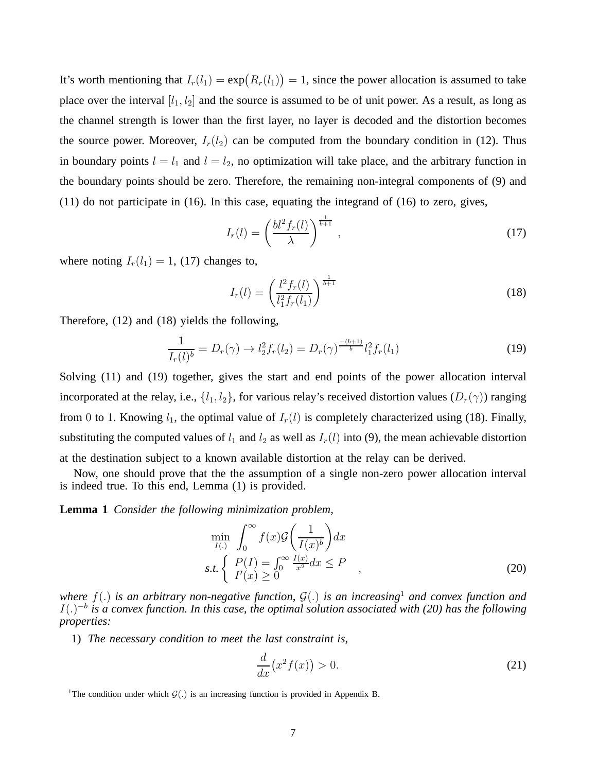It's worth mentioning that  $I_r(l_1) = \exp(R_r(l_1)) = 1$ , since the power allocation is assumed to take place over the interval  $[l_1, l_2]$  and the source is assumed to be of unit power. As a result, as long as the channel strength is lower than the first layer, no layer is decoded and the distortion becomes the source power. Moreover,  $I_r(l_2)$  can be computed from the boundary condition in (12). Thus in boundary points  $l = l_1$  and  $l = l_2$ , no optimization will take place, and the arbitrary function in the boundary points should be zero. Therefore, the remaining non-integral components of (9) and (11) do not participate in (16). In this case, equating the integrand of (16) to zero, gives,

$$
I_r(l) = \left(\frac{bl^2 f_r(l)}{\lambda}\right)^{\frac{1}{b+1}},\tag{17}
$$

where noting  $I_r(l_1) = 1$ , (17) changes to,

$$
I_r(l) = \left(\frac{l^2 f_r(l)}{l_1^2 f_r(l_1)}\right)^{\frac{1}{b+1}}
$$
\n(18)

Therefore, (12) and (18) yields the following,

$$
\frac{1}{I_r(l)^b} = D_r(\gamma) \to l_2^2 f_r(l_2) = D_r(\gamma)^{\frac{-(b+1)}{b}} l_1^2 f_r(l_1)
$$
\n(19)

Solving (11) and (19) together, gives the start and end points of the power allocation interval incorporated at the relay, i.e.,  $\{l_1, l_2\}$ , for various relay's received distortion values  $(D_r(\gamma))$  ranging from 0 to 1. Knowing  $l_1$ , the optimal value of  $I_r(l)$  is completely characterized using (18). Finally, substituting the computed values of  $l_1$  and  $l_2$  as well as  $I_r(l)$  into (9), the mean achievable distortion at the destination subject to a known available distortion at the relay can be derived.

Now, one should prove that the the assumption of a single non-zero power allocation interval is indeed true. To this end, Lemma (1) is provided.

**Lemma 1** *Consider the following minimization problem,*

$$
\min_{I(.)} \int_0^\infty f(x) \mathcal{G}\left(\frac{1}{I(x)^b}\right) dx
$$
\n
$$
s.t. \left\{\n\begin{array}{l}\nP(I) = \int_0^\infty \frac{I(x)}{x^2} dx \le P \\
I'(x) \ge 0\n\end{array}\n\right.,
$$
\n(20)

*where*  $f(.)$  *is an arbitrary non-negative function,*  $G(.)$  *is an increasing*<sup>1</sup> *and convex function and*  $I(.)^{-b}$  is a convex function. In this case, the optimal solution associated with (20) has the following *properties:*

1) *The necessary condition to meet the last constraint is,*

$$
\frac{d}{dx}\left(x^2f(x)\right) > 0.\tag{21}
$$

<sup>1</sup>The condition under which  $\mathcal{G}(.)$  is an increasing function is provided in Appendix B.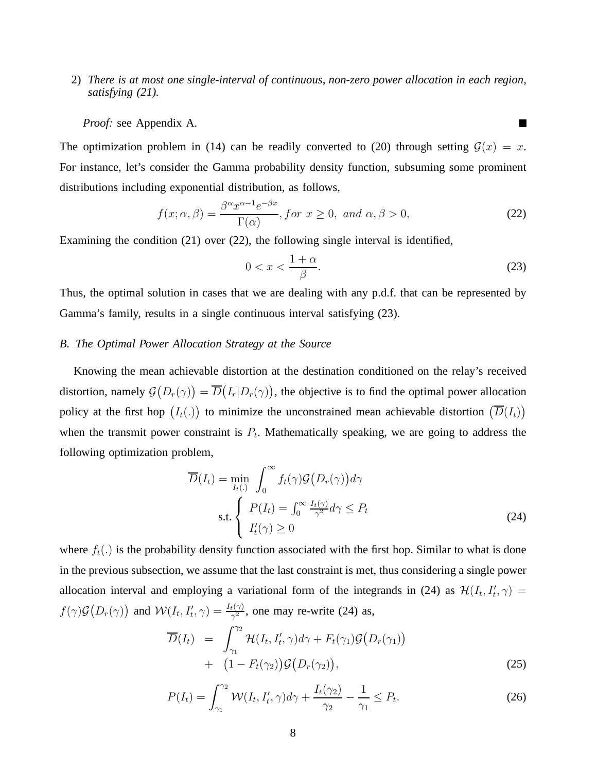2) *There is at most one single-interval of continuous, non-zero power allocation in each region, satisfying (21).*

*Proof:* see Appendix A.

The optimization problem in (14) can be readily converted to (20) through setting  $\mathcal{G}(x) = x$ . For instance, let's consider the Gamma probability density function, subsuming some prominent distributions including exponential distribution, as follows,

$$
f(x; \alpha, \beta) = \frac{\beta^{\alpha} x^{\alpha - 1} e^{-\beta x}}{\Gamma(\alpha)}, \text{ for } x \ge 0, \text{ and } \alpha, \beta > 0,
$$
 (22)

Examining the condition (21) over (22), the following single interval is identified,

$$
0 < x < \frac{1+\alpha}{\beta}.\tag{23}
$$

П

Thus, the optimal solution in cases that we are dealing with any p.d.f. that can be represented by Gamma's family, results in a single continuous interval satisfying (23).

### *B. The Optimal Power Allocation Strategy at the Source*

Knowing the mean achievable distortion at the destination conditioned on the relay's received distortion, namely  $\mathcal{G}(D_r(\gamma)) = \overline{D}(I_r|D_r(\gamma))$ , the objective is to find the optimal power allocation policy at the first hop  $(I_t(.))$  to minimize the unconstrained mean achievable distortion  $(\overline{D}(I_t))$ when the transmit power constraint is  $P_t$ . Mathematically speaking, we are going to address the following optimization problem,

$$
\overline{D}(I_t) = \min_{I_t(.)} \int_0^\infty f_t(\gamma) \mathcal{G}(D_r(\gamma)) d\gamma
$$
  
s.t. 
$$
\begin{cases} P(I_t) = \int_0^\infty \frac{I_t(\gamma)}{\gamma^2} d\gamma \le P_t \\ I'_t(\gamma) \ge 0 \end{cases}
$$
 (24)

where  $f_t(.)$  is the probability density function associated with the first hop. Similar to what is done in the previous subsection, we assume that the last constraint is met, thus considering a single power allocation interval and employing a variational form of the integrands in (24) as  $\mathcal{H}(I_t, I'_t, \gamma) =$  $f(\gamma)G(D_r(\gamma))$  and  $W(I_t, I'_t, \gamma) = \frac{I_t(\gamma)}{\gamma^2}$ , one may re-write (24) as,

$$
\overline{D}(I_t) = \int_{\gamma_1}^{\gamma_2} \mathcal{H}(I_t, I'_t, \gamma) d\gamma + F_t(\gamma_1) \mathcal{G}(D_r(\gamma_1)) + (1 - F_t(\gamma_2)) \mathcal{G}(D_r(\gamma_2)), \tag{25}
$$

$$
P(I_t) = \int_{\gamma_1}^{\gamma_2} \mathcal{W}(I_t, I'_t, \gamma) d\gamma + \frac{I_t(\gamma_2)}{\gamma_2} - \frac{1}{\gamma_1} \le P_t.
$$
 (26)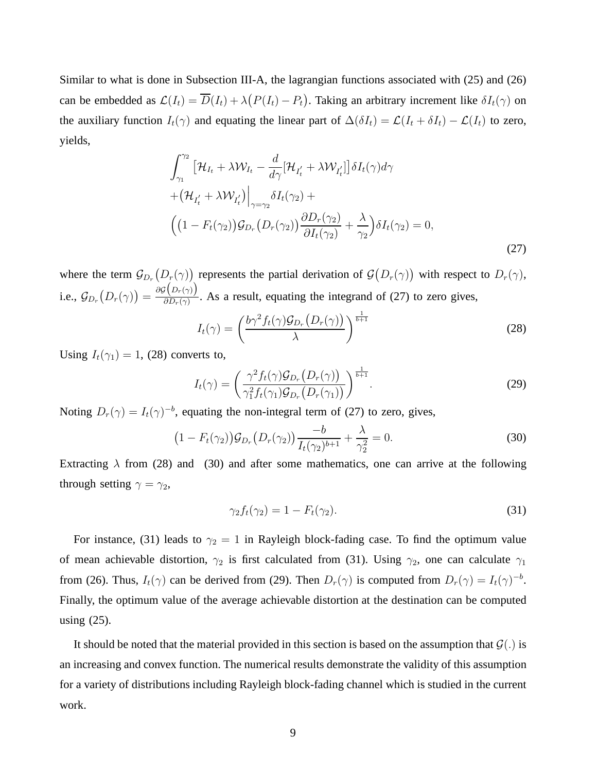Similar to what is done in Subsection III-A, the lagrangian functions associated with (25) and (26) can be embedded as  $\mathcal{L}(I_t) = \overline{D}(I_t) + \lambda (P(I_t) - P_t)$ . Taking an arbitrary increment like  $\delta I_t(\gamma)$  on the auxiliary function  $I_t(\gamma)$  and equating the linear part of  $\Delta(\delta I_t) = \mathcal{L}(I_t + \delta I_t) - \mathcal{L}(I_t)$  to zero, yields,

$$
\int_{\gamma_1}^{\gamma_2} \left[ \mathcal{H}_{I_t} + \lambda \mathcal{W}_{I_t} - \frac{d}{d\gamma} [\mathcal{H}_{I_t'} + \lambda \mathcal{W}_{I_t'}] \right] \delta I_t(\gamma) d\gamma + \left( \mathcal{H}_{I_t'} + \lambda \mathcal{W}_{I_t'} \right) \Big|_{\gamma = \gamma_2} \delta I_t(\gamma_2) + \left( \left( 1 - F_t(\gamma_2) \right) \mathcal{G}_{D_r} \left( D_r(\gamma_2) \right) \frac{\partial D_r(\gamma_2)}{\partial I_t(\gamma_2)} + \frac{\lambda}{\gamma_2} \right) \delta I_t(\gamma_2) = 0,
$$
\n(27)

where the term  $\mathcal{G}_{D_r}(D_r(\gamma))$  represents the partial derivation of  $\mathcal{G}(D_r(\gamma))$  with respect to  $D_r(\gamma)$ , i.e.,  $\mathcal{G}_{D_r}\big(D_r(\gamma)\big)=\frac{\partial \mathcal{G}\big(D_r(\gamma)\big)}{\partial D_r(\gamma)}$  $\frac{\partial P(\mathcal{D}_r(\gamma))}{\partial D_r(\gamma)}$ . As a result, equating the integrand of (27) to zero gives,

$$
I_t(\gamma) = \left(\frac{b\gamma^2 f_t(\gamma) \mathcal{G}_{D_r}\left(D_r(\gamma)\right)}{\lambda}\right)^{\frac{1}{b+1}}
$$
\n(28)

Using  $I_t(\gamma_1) = 1$ , (28) converts to,

$$
I_t(\gamma) = \left(\frac{\gamma^2 f_t(\gamma) \mathcal{G}_{D_r}\left(D_r(\gamma)\right)}{\gamma_1^2 f_t(\gamma_1) \mathcal{G}_{D_r}\left(D_r(\gamma_1)\right)}\right)^{\frac{1}{b+1}}.\tag{29}
$$

Noting  $D_r(\gamma) = I_t(\gamma)^{-b}$ , equating the non-integral term of (27) to zero, gives,

$$
(1 - F_t(\gamma_2))\mathcal{G}_{D_r}(D_r(\gamma_2)) \frac{-b}{I_t(\gamma_2)^{b+1}} + \frac{\lambda}{\gamma_2^2} = 0.
$$
 (30)

Extracting  $\lambda$  from (28) and (30) and after some mathematics, one can arrive at the following through setting  $\gamma = \gamma_2$ ,

$$
\gamma_2 f_t(\gamma_2) = 1 - F_t(\gamma_2). \tag{31}
$$

For instance, (31) leads to  $\gamma_2 = 1$  in Rayleigh block-fading case. To find the optimum value of mean achievable distortion,  $\gamma_2$  is first calculated from (31). Using  $\gamma_2$ , one can calculate  $\gamma_1$ from (26). Thus,  $I_t(\gamma)$  can be derived from (29). Then  $D_r(\gamma)$  is computed from  $D_r(\gamma) = I_t(\gamma)^{-b}$ . Finally, the optimum value of the average achievable distortion at the destination can be computed using (25).

It should be noted that the material provided in this section is based on the assumption that  $\mathcal{G}(.)$  is an increasing and convex function. The numerical results demonstrate the validity of this assumption for a variety of distributions including Rayleigh block-fading channel which is studied in the current work.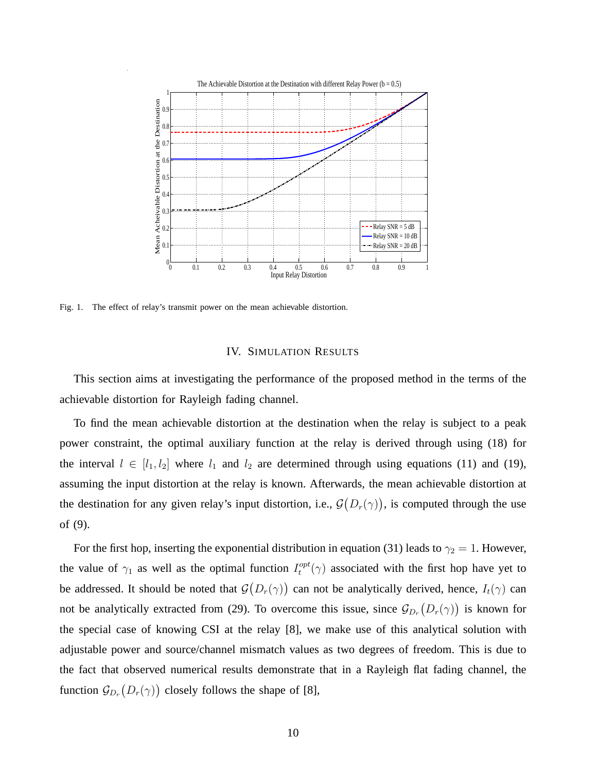

Fig. 1. The effect of relay's transmit power on the mean achievable distortion.

#### IV. SIMULATION RESULTS

This section aims at investigating the performance of the proposed method in the terms of the achievable distortion for Rayleigh fading channel.

To find the mean achievable distortion at the destination when the relay is subject to a peak power constraint, the optimal auxiliary function at the relay is derived through using (18) for the interval  $l \in [l_1, l_2]$  where  $l_1$  and  $l_2$  are determined through using equations (11) and (19), assuming the input distortion at the relay is known. Afterwards, the mean achievable distortion at the destination for any given relay's input distortion, i.e.,  $\mathcal{G}(D_r(\gamma))$ , is computed through the use of (9).

For the first hop, inserting the exponential distribution in equation (31) leads to  $\gamma_2 = 1$ . However, the value of  $\gamma_1$  as well as the optimal function  $I_t^{opt}$  $t_t^{opt}(\gamma)$  associated with the first hop have yet to be addressed. It should be noted that  $\mathcal{G}(D_r(\gamma))$  can not be analytically derived, hence,  $I_t(\gamma)$  can not be analytically extracted from (29). To overcome this issue, since  $\mathcal{G}_{D_r}(D_r(\gamma))$  is known for the special case of knowing CSI at the relay [8], we make use of this analytical solution with adjustable power and source/channel mismatch values as two degrees of freedom. This is due to the fact that observed numerical results demonstrate that in a Rayleigh flat fading channel, the function  $\mathcal{G}_{D_r}(D_r(\gamma))$  closely follows the shape of [8],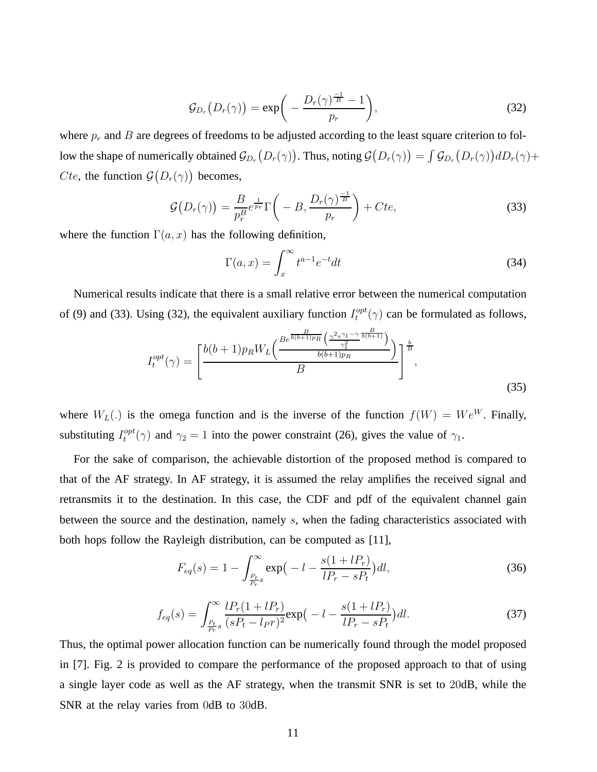$$
\mathcal{G}_{D_r}\big(D_r(\gamma)\big) = \exp\bigg(-\frac{D_r(\gamma)^{\frac{-1}{B}}-1}{p_r}\bigg),\tag{32}
$$

where  $p_r$  and B are degrees of freedoms to be adjusted according to the least square criterion to follow the shape of numerically obtained  $\mathcal{G}_{D_r}(D_r(\gamma))$ . Thus, noting  $\mathcal{G}(D_r(\gamma)) = \int \mathcal{G}_{D_r}(D_r(\gamma)) dD_r(\gamma) +$ *Cte*, the function  $\mathcal{G}(D_r(\gamma))$  becomes,

$$
\mathcal{G}\big(D_r(\gamma)\big) = \frac{B}{p_r^B} e^{\frac{1}{p_r}} \Gamma\bigg(-B, \frac{D_r(\gamma)^{\frac{-1}{B}}}{p_r}\bigg) + Cte,\tag{33}
$$

where the function  $\Gamma(a, x)$  has the following definition,

$$
\Gamma(a,x) = \int_{x}^{\infty} t^{a-1} e^{-t} dt
$$
\n(34)

Numerical results indicate that there is a small relative error between the numerical computation of (9) and (33). Using (32), the equivalent auxiliary function  $I_t^{opt}$  $t_t^{opt}(\gamma)$  can be formulated as follows,

$$
I_t^{opt}(\gamma) = \left[\frac{b(b+1)p_R W_L\left(\frac{B e^{\frac{B}{b(b+1)p_R}}\left(\frac{\gamma^2 e^{\gamma_1-\gamma}}{\gamma_1^2}\frac{b(b+1)}{b(b+1)p_R}\right)}{b(b+1)p_R}\right)^{\frac{b}{B}}}{B}\right],
$$
\n(35)

where  $W_L(.)$  is the omega function and is the inverse of the function  $f(W) = We^W$ . Finally, substituting  $I_t^{opt}$  $t_t^{opt}(\gamma)$  and  $\gamma_2 = 1$  into the power constraint (26), gives the value of  $\gamma_1$ .

For the sake of comparison, the achievable distortion of the proposed method is compared to that of the AF strategy. In AF strategy, it is assumed the relay amplifies the received signal and retransmits it to the destination. In this case, the CDF and pdf of the equivalent channel gain between the source and the destination, namely  $s$ , when the fading characteristics associated with both hops follow the Rayleigh distribution, can be computed as [11],

$$
F_{eq}(s) = 1 - \int_{\frac{P_t}{P_r}s}^{\infty} \exp\left(-l - \frac{s(1 + lP_r)}{lP_r - sP_t}\right) dl,
$$
\n(36)

$$
f_{eq}(s) = \int_{\frac{P_t}{P_r}s}^{\infty} \frac{lP_r(1+lP_r)}{(sP_t-l_{PT})^2} \exp\left(-l - \frac{s(1+lP_r)}{lP_r-sP_t}\right) dl.
$$
 (37)

Thus, the optimal power allocation function can be numerically found through the model proposed in [7]. Fig. 2 is provided to compare the performance of the proposed approach to that of using a single layer code as well as the AF strategy, when the transmit SNR is set to 20dB, while the SNR at the relay varies from 0dB to 30dB.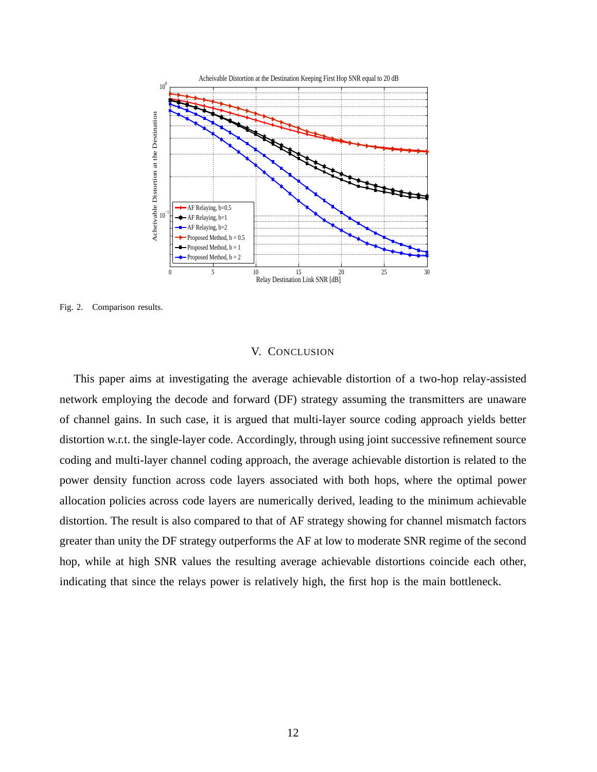

Fig. 2. Comparison results.

# V. CONCLUSION

This paper aims at investigating the average achievable distortion of a two-hop relay-assisted network employing the decode and forward (DF) strategy assuming the transmitters are unaware of channel gains. In such case, it is argued that multi-layer source coding approach yields better distortion w.r.t. the single-layer code. Accordingly, through using joint successive refinement source coding and multi-layer channel coding approach, the average achievable distortion is related to the power density function across code layers associated with both hops, where the optimal power allocation policies across code layers are numerically derived, leading to the minimum achievable distortion. The result is also compared to that of AF strategy showing for channel mismatch factors greater than unity the DF strategy outperforms the AF at low to moderate SNR regime of the second hop, while at high SNR values the resulting average achievable distortions coincide each other, indicating that since the relays power is relatively high, the first hop is the main bottleneck.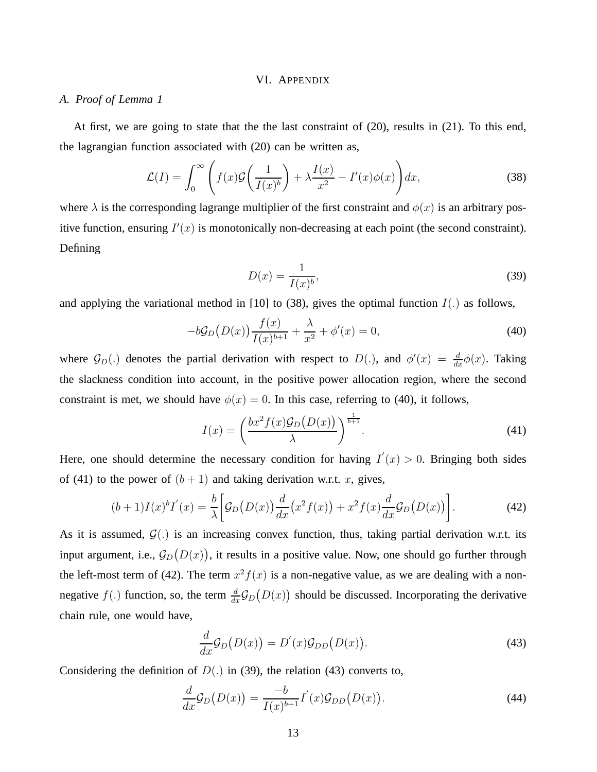#### VI. APPENDIX

## *A. Proof of Lemma 1*

At first, we are going to state that the the last constraint of (20), results in (21). To this end, the lagrangian function associated with (20) can be written as,

$$
\mathcal{L}(I) = \int_0^\infty \left( f(x)\mathcal{G}\left(\frac{1}{I(x)^b}\right) + \lambda \frac{I(x)}{x^2} - I'(x)\phi(x) \right) dx,\tag{38}
$$

where  $\lambda$  is the corresponding lagrange multiplier of the first constraint and  $\phi(x)$  is an arbitrary positive function, ensuring  $I'(x)$  is monotonically non-decreasing at each point (the second constraint). Defining

$$
D(x) = \frac{1}{I(x)^b},\tag{39}
$$

and applying the variational method in [10] to (38), gives the optimal function  $I(.)$  as follows,

$$
-bG_D(D(x))\frac{f(x)}{I(x)^{b+1}} + \frac{\lambda}{x^2} + \phi'(x) = 0,
$$
\n(40)

where  $\mathcal{G}_D(.)$  denotes the partial derivation with respect to  $D(.)$ , and  $\phi'(x) = \frac{d}{dx}\phi(x)$ . Taking the slackness condition into account, in the positive power allocation region, where the second constraint is met, we should have  $\phi(x) = 0$ . In this case, referring to (40), it follows,

$$
I(x) = \left(\frac{bx^2 f(x) \mathcal{G}_D(D(x))}{\lambda}\right)^{\frac{1}{b+1}}.
$$
\n(41)

Here, one should determine the necessary condition for having  $I'(x) > 0$ . Bringing both sides of (41) to the power of  $(b+1)$  and taking derivation w.r.t. x, gives,

$$
(b+1)I(x)^{b}I'(x) = \frac{b}{\lambda} \left[ \mathcal{G}_D(D(x)) \frac{d}{dx} (x^2 f(x)) + x^2 f(x) \frac{d}{dx} \mathcal{G}_D(D(x)) \right].
$$
 (42)

As it is assumed,  $G(.)$  is an increasing convex function, thus, taking partial derivation w.r.t. its input argument, i.e.,  $\mathcal{G}_D\big(D(x)\big)$ , it results in a positive value. Now, one should go further through the left-most term of (42). The term  $x^2 f(x)$  is a non-negative value, as we are dealing with a nonnegative  $f(.)$  function, so, the term  $\frac{d}{dx}\mathcal{G}_D(D(x))$  should be discussed. Incorporating the derivative chain rule, one would have,

$$
\frac{d}{dx}\mathcal{G}_D(D(x)) = D'(x)\mathcal{G}_{DD}(D(x)).
$$
\n(43)

Considering the definition of  $D(.)$  in (39), the relation (43) converts to,

$$
\frac{d}{dx}\mathcal{G}_D(D(x)) = \frac{-b}{I(x)^{b+1}}I'(x)\mathcal{G}_{DD}(D(x)).\tag{44}
$$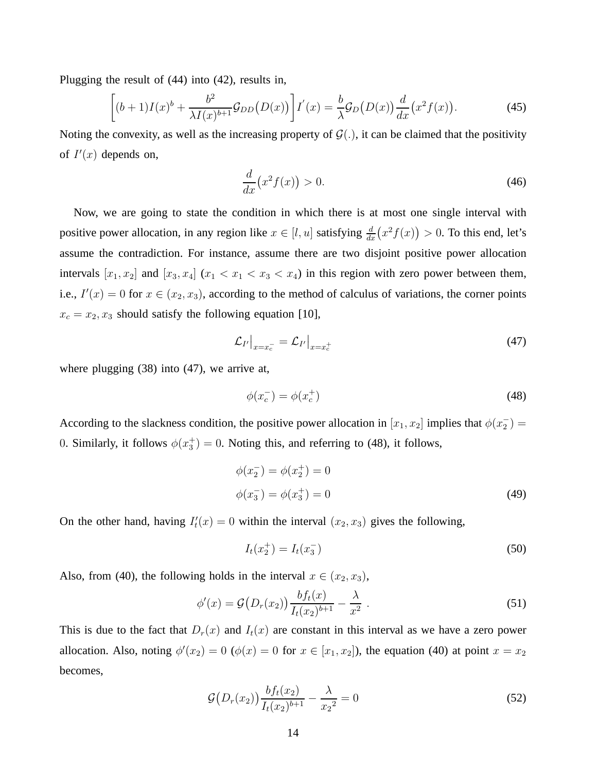Plugging the result of (44) into (42), results in,

$$
\left[ (b+1)I(x)^b + \frac{b^2}{\lambda I(x)^{b+1}} \mathcal{G}_{DD}(D(x)) \right] I'(x) = \frac{b}{\lambda} \mathcal{G}_D(D(x)) \frac{d}{dx} (x^2 f(x)). \tag{45}
$$

Noting the convexity, as well as the increasing property of  $\mathcal{G}(.)$ , it can be claimed that the positivity of  $I'(x)$  depends on,

$$
\frac{d}{dx}\left(x^2f(x)\right) > 0.\tag{46}
$$

Now, we are going to state the condition in which there is at most one single interval with positive power allocation, in any region like  $x \in [l, u]$  satisfying  $\frac{d}{dx}(x^2 f(x)) > 0$ . To this end, let's assume the contradiction. For instance, assume there are two disjoint positive power allocation intervals  $[x_1, x_2]$  and  $[x_3, x_4]$   $(x_1 < x_1 < x_3 < x_4)$  in this region with zero power between them, i.e.,  $I'(x) = 0$  for  $x \in (x_2, x_3)$ , according to the method of calculus of variations, the corner points  $x_c = x_2, x_3$  should satisfy the following equation [10],

$$
\mathcal{L}_{I'}\big|_{x=x_c^-} = \mathcal{L}_{I'}\big|_{x=x_c^+}
$$
\n(47)

where plugging (38) into (47), we arrive at,

$$
\phi(x_c^-) = \phi(x_c^+) \tag{48}
$$

According to the slackness condition, the positive power allocation in  $[x_1, x_2]$  implies that  $\phi(x_2)$  $_{2}^{-}$ ) = 0. Similarly, it follows  $\phi(x_3^+) = 0$ . Noting this, and referring to (48), it follows,

$$
\phi(x_2^-) = \phi(x_2^+) = 0
$$
  

$$
\phi(x_3^-) = \phi(x_3^+) = 0
$$
 (49)

On the other hand, having  $I_t'$  $t'_t(x) = 0$  within the interval  $(x_2, x_3)$  gives the following,

$$
I_t(x_2^+) = I_t(x_3^-)
$$
\n(50)

Also, from (40), the following holds in the interval  $x \in (x_2, x_3)$ ,

$$
\phi'(x) = \mathcal{G}(D_r(x_2)) \frac{bf_t(x)}{I_t(x_2)^{b+1}} - \frac{\lambda}{x^2} \ . \tag{51}
$$

This is due to the fact that  $D_r(x)$  and  $I_t(x)$  are constant in this interval as we have a zero power allocation. Also, noting  $\phi'(x_2) = 0$  ( $\phi(x) = 0$  for  $x \in [x_1, x_2]$ ), the equation (40) at point  $x = x_2$ becomes,

$$
\mathcal{G}\big(D_r(x_2)\big)\frac{bf_t(x_2)}{I_t(x_2)^{b+1}} - \frac{\lambda}{x_2^2} = 0\tag{52}
$$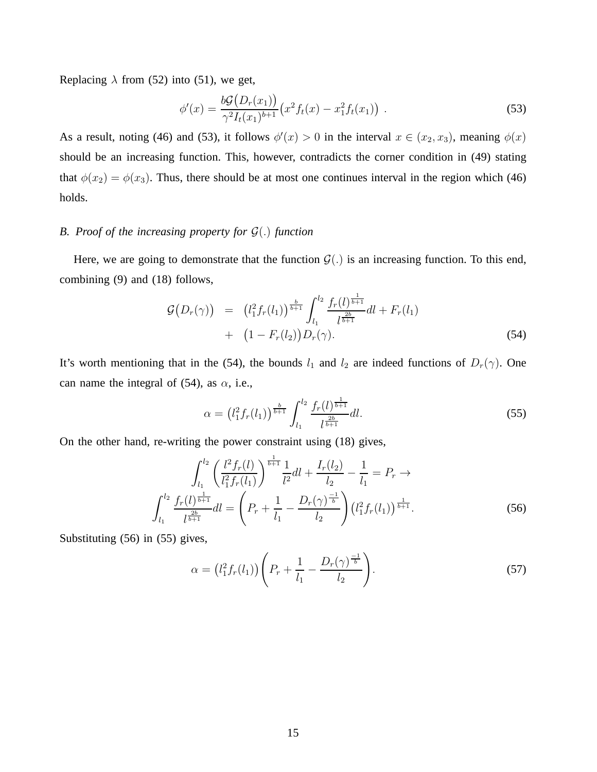Replacing  $\lambda$  from (52) into (51), we get,

$$
\phi'(x) = \frac{b\mathcal{G}(D_r(x_1))}{\gamma^2 I_t(x_1)^{b+1}} \big(x^2 f_t(x) - x_1^2 f_t(x_1)\big) \tag{53}
$$

As a result, noting (46) and (53), it follows  $\phi'(x) > 0$  in the interval  $x \in (x_2, x_3)$ , meaning  $\phi(x)$ should be an increasing function. This, however, contradicts the corner condition in (49) stating that  $\phi(x_2) = \phi(x_3)$ . Thus, there should be at most one continues interval in the region which (46) holds.

## *B. Proof of the increasing property for* G(.) *function*

Here, we are going to demonstrate that the function  $G(.)$  is an increasing function. To this end, combining (9) and (18) follows,

$$
\mathcal{G}\big(D_r(\gamma)\big) = \left(l_1^2 f_r(l_1)\right)^{\frac{b}{b+1}} \int_{l_1}^{l_2} \frac{f_r(l)^{\frac{1}{b+1}}}{l^{\frac{2b}{b+1}}} dl + F_r(l_1) + \left(1 - F_r(l_2)\right) D_r(\gamma). \tag{54}
$$

It's worth mentioning that in the (54), the bounds  $l_1$  and  $l_2$  are indeed functions of  $D_r(\gamma)$ . One can name the integral of (54), as  $\alpha$ , i.e.,

$$
\alpha = \left(l_1^2 f_r(l_1)\right)^{\frac{b}{b+1}} \int_{l_1}^{l_2} \frac{f_r(l)^{\frac{1}{b+1}}}{l^{\frac{2b}{b+1}}} dl. \tag{55}
$$

On the other hand, re-writing the power constraint using (18) gives,

$$
\int_{l_1}^{l_2} \left( \frac{l^2 f_r(l)}{l_1^2 f_r(l_1)} \right)^{\frac{1}{b+1}} \frac{1}{l^2} dl + \frac{I_r(l_2)}{l_2} - \frac{1}{l_1} = P_r \to
$$
\n
$$
\int_{l_1}^{l_2} \frac{f_r(l)^{\frac{1}{b+1}}}{l^{\frac{2b}{b+1}}} dl = \left( P_r + \frac{1}{l_1} - \frac{D_r(\gamma)^{\frac{-1}{b}}}{l_2} \right) \left( l_1^2 f_r(l_1) \right)^{\frac{1}{b+1}}.
$$
\n(56)

Substituting (56) in (55) gives,

$$
\alpha = (l_1^2 f_r(l_1)) \left( P_r + \frac{1}{l_1} - \frac{D_r(\gamma)^{\frac{-1}{b}}}{l_2} \right).
$$
\n(57)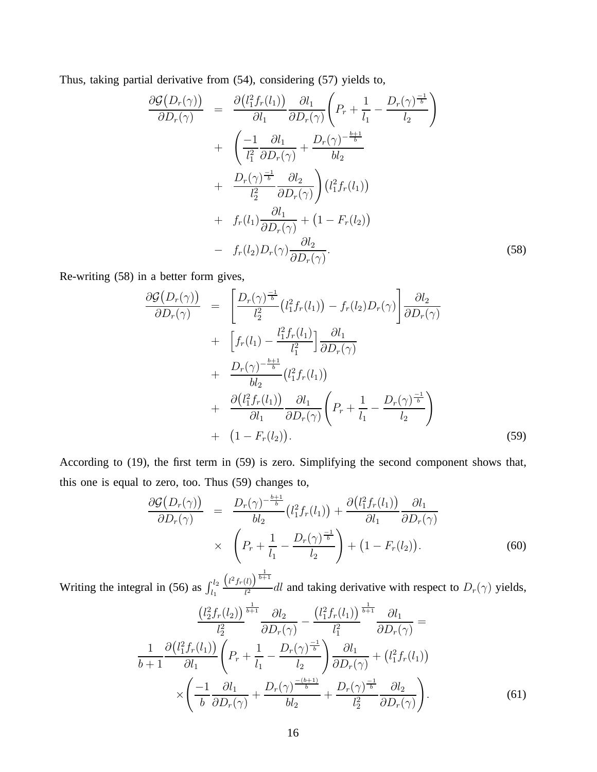Thus, taking partial derivative from (54), considering (57) yields to,

$$
\frac{\partial \mathcal{G}(D_r(\gamma))}{\partial D_r(\gamma)} = \frac{\partial (l_1^2 f_r(l_1))}{\partial l_1} \frac{\partial l_1}{\partial D_r(\gamma)} \left( P_r + \frac{1}{l_1} - \frac{D_r(\gamma)^{\frac{-1}{b}}}{l_2} \right) \n+ \left( \frac{-1}{l_1^2} \frac{\partial l_1}{\partial D_r(\gamma)} + \frac{D_r(\gamma)^{-\frac{b+1}{b}}}{bl_2} \right) \n+ \frac{D_r(\gamma)^{\frac{-1}{b}}}{l_2^2} \frac{\partial l_2}{\partial D_r(\gamma)} \right) (l_1^2 f_r(l_1)) \n+ f_r(l_1) \frac{\partial l_1}{\partial D_r(\gamma)} + (1 - F_r(l_2)) \n- f_r(l_2) D_r(\gamma) \frac{\partial l_2}{\partial D_r(\gamma)}.
$$
\n(58)

Re-writing (58) in a better form gives,

$$
\frac{\partial \mathcal{G}(D_r(\gamma))}{\partial D_r(\gamma)} = \left[ \frac{D_r(\gamma)^{\frac{-1}{b}}}{l_2^2} (l_1^2 f_r(l_1)) - f_r(l_2) D_r(\gamma) \right] \frac{\partial l_2}{\partial D_r(\gamma)} \n+ \left[ f_r(l_1) - \frac{l_1^2 f_r(l_1)}{l_1^2} \right] \frac{\partial l_1}{\partial D_r(\gamma)} \n+ \frac{D_r(\gamma)^{-\frac{b+1}{b}}}{bl_2} (l_1^2 f_r(l_1)) \n+ \frac{\partial (l_1^2 f_r(l_1))}{\partial l_1} \frac{\partial l_1}{\partial D_r(\gamma)} \left( P_r + \frac{1}{l_1} - \frac{D_r(\gamma)^{\frac{-1}{b}}}{l_2} \right) \n+ (1 - F_r(l_2)).
$$
\n(59)

According to (19), the first term in (59) is zero. Simplifying the second component shows that, this one is equal to zero, too. Thus (59) changes to,

$$
\frac{\partial \mathcal{G}(D_r(\gamma))}{\partial D_r(\gamma)} = \frac{D_r(\gamma)^{-\frac{b+1}{b}}}{bl_2} (l_1^2 f_r(l_1)) + \frac{\partial (l_1^2 f_r(l_1))}{\partial l_1} \frac{\partial l_1}{\partial D_r(\gamma)}
$$
  
 
$$
\times \left(P_r + \frac{1}{l_1} - \frac{D_r(\gamma)^{-\frac{1}{b}}}{l_2}\right) + (1 - F_r(l_2)). \tag{60}
$$

Writing the integral in (56) as  $\int_{l_1}^{l_2}$  $\left(l^2 f_r(l)\right)^{\frac{1}{b+1}}$  $\frac{\partial f}{\partial t^2}$  and taking derivative with respect to  $D_r(\gamma)$  yields,

$$
\frac{\left(l_2^2 f_r(l_2)\right)^{\frac{1}{b+1}}}{l_2^2} \frac{\partial l_2}{\partial D_r(\gamma)} - \frac{\left(l_1^2 f_r(l_1)\right)^{\frac{1}{b+1}}}{l_1^2} \frac{\partial l_1}{\partial D_r(\gamma)} =
$$
\n
$$
\frac{1}{b+1} \frac{\partial \left(l_1^2 f_r(l_1)\right)}{\partial l_1} \left(P_r + \frac{1}{l_1} - \frac{D_r(\gamma)^{\frac{-1}{b}}}{l_2}\right) \frac{\partial l_1}{\partial D_r(\gamma)} + \left(l_1^2 f_r(l_1)\right)
$$
\n
$$
\times \left(\frac{-1}{b} \frac{\partial l_1}{\partial D_r(\gamma)} + \frac{D_r(\gamma)^{\frac{-(b+1)}{b}}}{bl_2} + \frac{D_r(\gamma)^{\frac{-1}{b}}}{l_2^2} \frac{\partial l_2}{\partial D_r(\gamma)}\right).
$$
\n(61)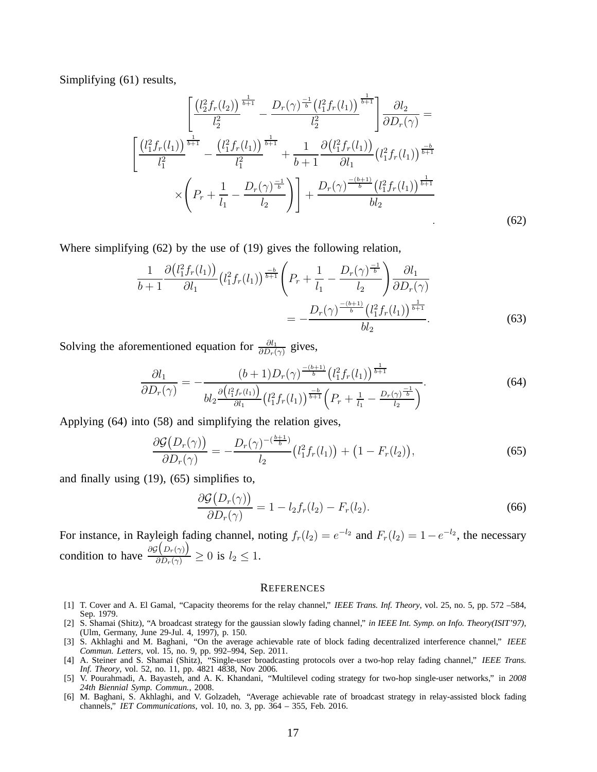Simplifying (61) results,

$$
\left[\frac{\left(l_{2}^{2}f_{r}(l_{2})\right)^{\frac{1}{b+1}}}{l_{2}^{2}} - \frac{D_{r}(\gamma)^{\frac{-1}{b}}\left(l_{1}^{2}f_{r}(l_{1})\right)^{\frac{1}{b+1}}}{l_{2}^{2}}\right] \frac{\partial l_{2}}{\partial D_{r}(\gamma)} = \frac{\left[\left(l_{1}^{2}f_{r}(l_{1})\right)^{\frac{1}{b+1}} - \frac{\left(l_{1}^{2}f_{r}(l_{1})\right)^{\frac{1}{b+1}}}{l_{1}^{2}} + \frac{1}{b+1} \frac{\partial\left(l_{1}^{2}f_{r}(l_{1})\right)}{\partial l_{1}}\left(l_{1}^{2}f_{r}(l_{1})\right)^{\frac{-b}{b+1}}}{l_{2}^{2}} \right] \times \left(P_{r} + \frac{1}{l_{1}} - \frac{D_{r}(\gamma)^{\frac{-1}{b}}}{l_{2}}\right) + \frac{D_{r}(\gamma)^{\frac{-(b+1)}{b}}\left(l_{1}^{2}f_{r}(l_{1})\right)^{\frac{1}{b+1}}}{bl_{2}} \tag{62}
$$

Where simplifying (62) by the use of (19) gives the following relation,

$$
\frac{1}{b+1} \frac{\partial (l_1^2 f_r(l_1))}{\partial l_1} (l_1^2 f_r(l_1))^{\frac{-b}{b+1}} \left( P_r + \frac{1}{l_1} - \frac{D_r(\gamma)^{\frac{-1}{b}}}{l_2} \right) \frac{\partial l_1}{\partial D_r(\gamma)} \n= -\frac{D_r(\gamma)^{\frac{-(b+1)}{b}} (l_1^2 f_r(l_1))^{\frac{1}{b+1}}}{bl_2}.
$$
\n(63)

Solving the aforementioned equation for  $\frac{\partial l_1}{\partial D_r(\gamma)}$  gives,

$$
\frac{\partial l_1}{\partial D_r(\gamma)} = -\frac{(b+1)D_r(\gamma)^{\frac{-(b+1)}{b}} \left(l_1^2 f_r(l_1)\right)^{\frac{1}{b+1}}}{bl_2^{\frac{\partial \left(l_1^2 f_r(l_1)\right)}{\partial l_1}} \left(l_1^2 f_r(l_1)\right)^{\frac{-b}{b+1}} \left(P_r + \frac{1}{l_1} - \frac{D_r(\gamma)^{\frac{-1}{b}}}{l_2}\right)}.
$$
\n(64)

Applying (64) into (58) and simplifying the relation gives,

$$
\frac{\partial \mathcal{G}\big(D_r(\gamma)\big)}{\partial D_r(\gamma)} = -\frac{D_r(\gamma)^{-(\frac{b+1}{b})}}{l_2} \big(l_1^2 f_r(l_1)\big) + \big(1 - F_r(l_2)\big),\tag{65}
$$

and finally using (19), (65) simplifies to,

$$
\frac{\partial \mathcal{G}(D_r(\gamma))}{\partial D_r(\gamma)} = 1 - l_2 f_r(l_2) - F_r(l_2). \tag{66}
$$

For instance, in Rayleigh fading channel, noting  $f_r(l_2) = e^{-l_2}$  and  $F_r(l_2) = 1 - e^{-l_2}$ , the necessary condition to have  $\frac{\partial \mathcal{G}(D_r(\gamma))}{\partial D_r(\gamma)}$  $\frac{\partial P(r(t))}{\partial D_r(\gamma)} \geq 0$  is  $l_2 \leq 1$ .

#### **REFERENCES**

- [1] T. Cover and A. El Gamal, "Capacity theorems for the relay channel," *IEEE Trans. Inf. Theory*, vol. 25, no. 5, pp. 572 –584, Sep. 1979.
- [2] S. Shamai (Shitz), "A broadcast strategy for the gaussian slowly fading channel," *in IEEE Int. Symp. on Info. Theory(ISIT'97)*, (Ulm, Germany, June 29-Jul. 4, 1997), p. 150.
- [3] S. Akhlaghi and M. Baghani, "On the average achievable rate of block fading decentralized interference channel," *IEEE Commun. Letters*, vol. 15, no. 9, pp. 992–994, Sep. 2011.
- [4] A. Steiner and S. Shamai (Shitz), "Single-user broadcasting protocols over a two-hop relay fading channel," *IEEE Trans. Inf. Theory*, vol. 52, no. 11, pp. 4821 4838, Nov 2006.
- [5] V. Pourahmadi, A. Bayasteh, and A. K. Khandani, "Multilevel coding strategy for two-hop single-user networks," in *2008 24th Biennial Symp. Commun.*, 2008.
- [6] M. Baghani, S. Akhlaghi, and V. Golzadeh, "Average achievable rate of broadcast strategy in relay-assisted block fading channels," *IET Communications*, vol. 10, no. 3, pp. 364 – 355, Feb. 2016.